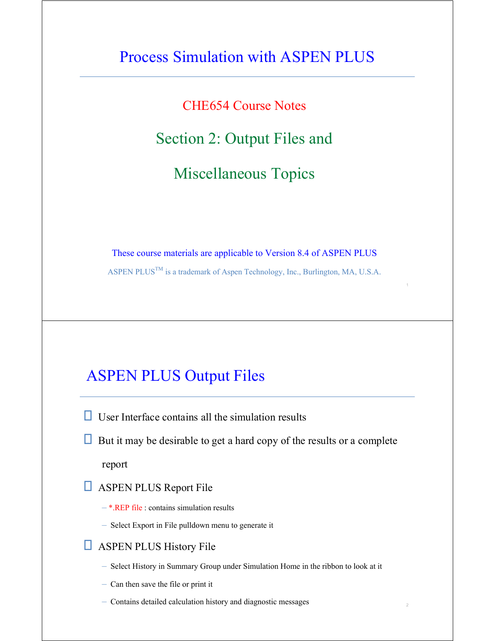# Process Simulation with ASPEN PLUS

CHE654 Course Notes

#### Section 2: Output Files and

Miscellaneous Topics

These course materials are applicable to Version 8.4 of ASPEN PLUS

ASPEN PLUS<sup>TM</sup> is a trademark of Aspen Technology, Inc., Burlington, MA, U.S.A.

1

2

### ASPEN PLUS Output Files

 $\Box$  User Interface contains all the simulation results

 $\Box$  But it may be desirable to get a hard copy of the results or a complete

report

- **ASPEN PLUS Report File** 
	- \*.REP file : contains simulation results
	- Select Export in File pulldown menu to generate it
- **ASPEN PLUS History File** 
	- Select History in Summary Group under Simulation Home in the ribbon to look at it
	- Can then save the file or print it
	- Contains detailed calculation history and diagnostic messages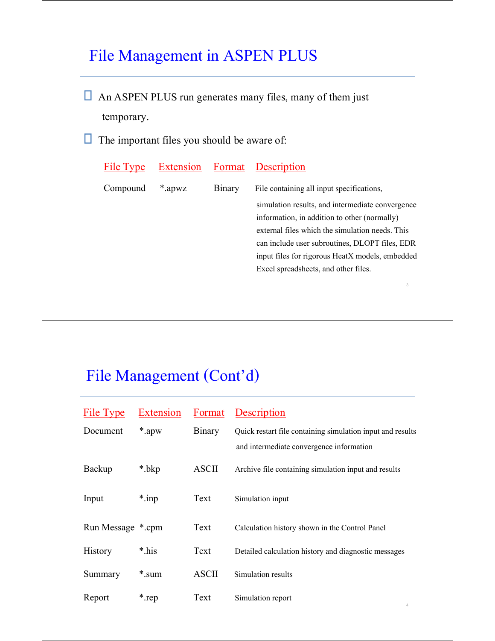# File Management in ASPEN PLUS

- An ASPEN PLUS run generates many files, many of them just temporary.
- $\Box$  The important files you should be aware of:

| File Type |        |        | <b>Extension</b> Format Description              |
|-----------|--------|--------|--------------------------------------------------|
| Compound  | *.apwz | Binary | File containing all input specifications,        |
|           |        |        | simulation results, and intermediate convergence |
|           |        |        | information, in addition to other (normally)     |
|           |        |        | external files which the simulation needs. This  |
|           |        |        | can include user subroutines, DLOPT files, EDR   |
|           |        |        | input files for rigorous HeatX models, embedded  |
|           |        |        | Excel spreadsheets, and other files.             |

3

# File Management (Cont'd)

| File Type         | Extension | Format       | Description                                                |
|-------------------|-----------|--------------|------------------------------------------------------------|
| Document          | *.apw     | Binary       | Quick restart file containing simulation input and results |
|                   |           |              | and intermediate convergence information                   |
| Backup            | *.bkp     | <b>ASCII</b> | Archive file containing simulation input and results       |
| Input             | $*$ .inp  | Text         | Simulation input                                           |
| Run Message *.cpm |           | Text         | Calculation history shown in the Control Panel             |
| History           | *.his     | Text         | Detailed calculation history and diagnostic messages       |
| Summary           | *.sum     | <b>ASCII</b> | Simulation results                                         |
| Report            | *.rep     | Text         | Simulation report<br>4                                     |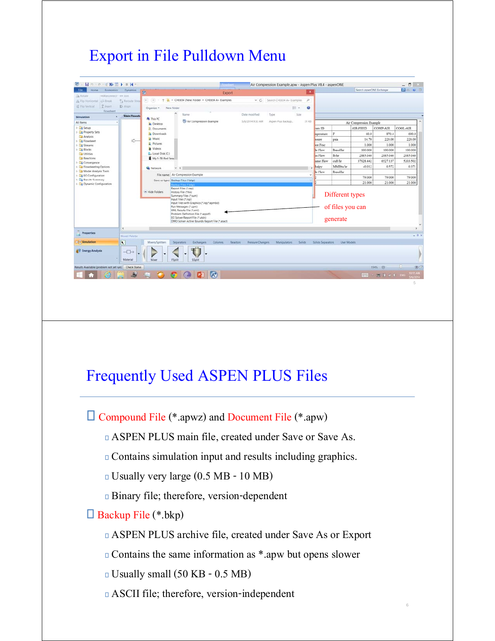# Export in File Pulldown Menu

| <b>File</b><br>Home<br>Economics                                           | Dynamics                | 碗                             |                                                                                                                                                                                                                                               | Export                               |                           | $\pmb{\times}$ |                   |                              | Search asperIONE Exchange |          | <b>P &amp; W B</b> |
|----------------------------------------------------------------------------|-------------------------|-------------------------------|-----------------------------------------------------------------------------------------------------------------------------------------------------------------------------------------------------------------------------------------------|--------------------------------------|---------------------------|----------------|-------------------|------------------------------|---------------------------|----------|--------------------|
| <b>CA</b> Rotate<br>Hilleconnect - we loin<br>35 Filp Horizontal air-Break | Ta Reroute Stress       | ⊛<br>(4)                      |                                                                                                                                                                                                                                               | v C                                  | Search CHE654 A+ Examples | p.             |                   |                              |                           |          |                    |
| P. insert<br>Fig Vertical                                                  | <b>ID Allon</b>         | Organize *                    | New folder                                                                                                                                                                                                                                    |                                      | $\mathbb{R}$ .            | $\Omega$       |                   |                              |                           |          |                    |
| <b><i><u>Rowsheet</u></i></b><br>Simulation                                | <b>Main Flowshe</b>     |                               | Name                                                                                                                                                                                                                                          | Date modified                        | Size<br>Type              |                |                   |                              |                           |          |                    |
| All items                                                                  |                         | A This PC<br><b>E</b> Desktop | Air Compression Example                                                                                                                                                                                                                       | 5/6/2014 9:32 AM                     | Aspen Plus Backup         | 31 KB          |                   |                              | Air Compression Example   |          |                    |
| $\triangleright$ $\Box$ Setup                                              |                         | <b>Documents</b>              |                                                                                                                                                                                                                                               |                                      |                           |                | am ID             |                              | AIR-FEED                  | COMP-AIR | COOL-AIR           |
| > Le Property Sets                                                         |                         | la Downloads                  |                                                                                                                                                                                                                                               |                                      |                           |                | nperature         | F                            | 60.0                      | 870.4    | 600.0              |
| Analysis                                                                   | ⇨                       | <b>B</b> Music                |                                                                                                                                                                                                                                               |                                      |                           |                | ssure             | psia                         | 14.70                     | 220.00   | 220.00             |
| <b>B</b> Flowsheet<br><b>B</b> Streams                                     |                         | <b>E</b> Pictures             |                                                                                                                                                                                                                                               |                                      |                           |                | sor Frac          |                              | 1.000                     | 1,000    | 1.000              |
| > Blocks                                                                   |                         | Wideos                        |                                                                                                                                                                                                                                               |                                      |                           |                | le Flow           | <b>Ibmol</b> hr              | 100.000                   | 100.000  | 100.000            |
| <b>Da Utilities</b>                                                        |                         | L. Local Disk (C:)            |                                                                                                                                                                                                                                               |                                      |                           |                | as Flow           | lb/hr                        | 2885.040                  | 2885.040 | 2885,040           |
| <b>Reactions</b>                                                           |                         | My 1-TB Red Sear              |                                                                                                                                                                                                                                               |                                      |                           |                | ume Flow          | cuft/hr                      | 37928.442                 | 6527.137 | 5203.502           |
| > Convergence<br>> El Flowsheeting Options                                 |                         |                               |                                                                                                                                                                                                                                               |                                      |                           |                | halpy             | MMBtu hr                     | $-0.012$                  | 0.572    | 0.371              |
| > Model Analysis Tools                                                     |                         | <b>W</b> Network              | $V$ (                                                                                                                                                                                                                                         |                                      |                           |                | le Flow           | Tomol hr                     |                           |          |                    |
| > EO Configuration                                                         |                         |                               | File name: Air Compression Example                                                                                                                                                                                                            |                                      |                           | ŵ              |                   |                              | 79,000                    | 79,000   | 79.000             |
| <b>b Co</b> Results Summary<br>> Dynamic Configuration                     |                         |                               | Save as type: Backup Files (*.bkp)<br>ackup Files (*.bkp                                                                                                                                                                                      |                                      |                           | $\sim$         |                   |                              | 21.000                    | 21.000   | 21.000             |
| <b>Properties</b>                                                          | $\epsilon$              |                               | Input Files (*.inp)<br>Input Files with Graphics (*.inp:*.apmbd)<br>Run Messages (*.cpm)<br>XML Results File (*.xml)<br>Problem Definition File (*appdf)<br>EO Solver Report File (*.atsiv)<br>DMO Solver Active Bounds Report File (*.atact) |                                      |                           |                |                   | of files you can<br>generate |                           |          |                    |
|                                                                            | Model Palette           |                               |                                                                                                                                                                                                                                               |                                      |                           |                |                   |                              |                           |          | $-0 \times$        |
| Simulation                                                                 | $\overline{\mathbf{R}}$ | Mixers/Splitters              | Separators<br>Exchangers<br>Columns                                                                                                                                                                                                           | <b>Reactors</b><br>Pressure Changers | Manipulators              | Solids         | Solids Separators | User Models                  |                           |          |                    |
| <b>AV Energy Analysis</b>                                                  | $\neg$<br>Material      | Mixer                         | <b>FSplit</b><br>SSplit                                                                                                                                                                                                                       |                                      |                           |                |                   |                              |                           |          |                    |
|                                                                            |                         |                               |                                                                                                                                                                                                                                               |                                      |                           |                |                   |                              |                           | 194% 日   |                    |
| Results Available (problem not yet run) Check Status                       |                         |                               |                                                                                                                                                                                                                                               |                                      |                           |                |                   |                              |                           |          |                    |

# Frequently Used ASPEN PLUS Files

Compound File (\*.apwz) and Document File (\*.apw)

- ASPEN PLUS main file, created under Save or Save As.
- Contains simulation input and results including graphics.
- Usually very large (0.5 MB 10 MB)
- Binary file; therefore, version-dependent

#### Backup File (\*.bkp)

ASPEN PLUS archive file, created under Save As or Export

6

- Contains the same information as \*.apw but opens slower
- Usually small (50 KB 0.5 MB)
- ASCII file; therefore, version-independent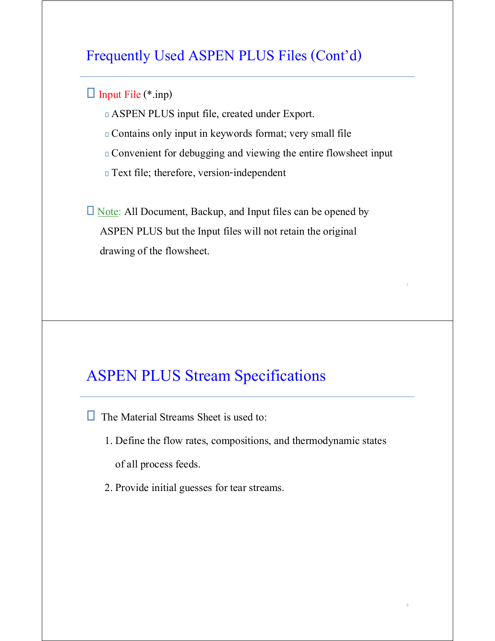#### Frequently Used ASPEN PLUS Files (Cont'd)

#### $\Box$  Input File (\*.inp)

- ASPEN PLUS input file, created under Export.
- Contains only input in keywords format; very small file
- Convenient for debugging and viewing the entire flowsheet input

7

8

Text file; therefore, version-independent

 $\Box$  Note: All Document, Backup, and Input files can be opened by ASPEN PLUS but the Input files will not retain the original drawing of the flowsheet.

# ASPEN PLUS Stream Specifications

- $\Box$  The Material Streams Sheet is used to:
	- 1. Define the flow rates, compositions, and thermodynamic states of all process feeds.
	- 2. Provide initial guesses for tear streams.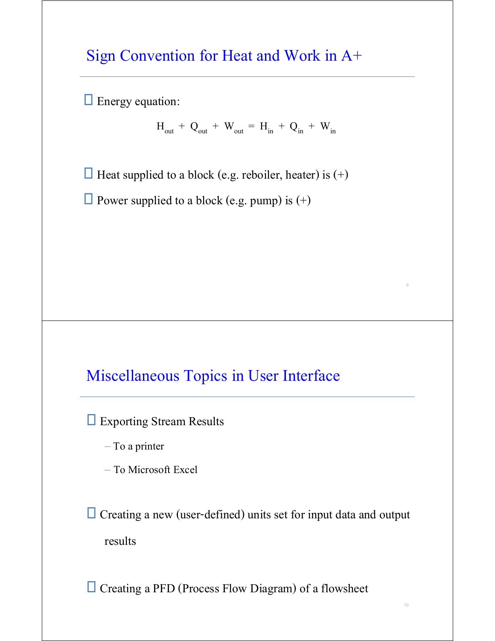### Sign Convention for Heat and Work in A+

 $\Box$  Energy equation:

 $H_{out}$  + Q<sub>out</sub> + W<sub>out</sub> = H<sub>in</sub> + Q<sub>in</sub> + W<sub>in</sub>

9

10

 $\Box$  Heat supplied to a block (e.g. reboiler, heater) is (+)

 $\Box$  Power supplied to a block (e.g. pump) is (+)

### Miscellaneous Topics in User Interface

**Exporting Stream Results** 

– To a printer

– To Microsoft Excel

 Creating a new (user-defined) units set for input data and output results

Creating a PFD (Process Flow Diagram) of a flowsheet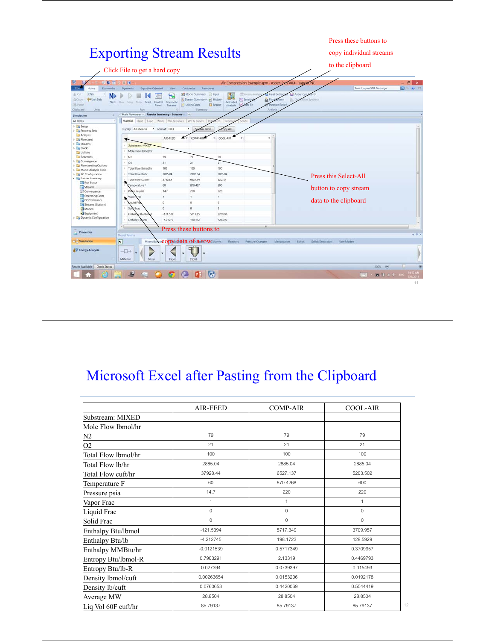

# Microsoft Excel after Pasting from the Clipboard

|                     | <b>AIR-FEED</b> | <b>COMP-AIR</b> | <b>COOL-AIR</b> |
|---------------------|-----------------|-----------------|-----------------|
| Substream: MIXED    |                 |                 |                 |
| Mole Flow lbmol/hr  |                 |                 |                 |
| N2                  | 79              | 79              | 79              |
| O <sub>2</sub>      | 21              | 21              | 21              |
| Total Flow lbmol/hr | 100             | 100             | 100             |
| Total Flow lb/hr    | 2885.04         | 2885.04         | 2885.04         |
| Total Flow cuft/hr  | 37928.44        | 6527.137        | 5203.502        |
| Temperature F       | 60              | 870.4268        | 600             |
| Pressure psia       | 14.7            | 220             | 220             |
| Vapor Frac          | $\mathbf{1}$    | $\mathbf{1}$    | $\mathbf{1}$    |
| Liquid Frac         | $\mathbf{0}$    | $\mathbf{0}$    | $\Omega$        |
| Solid Frac          | $\mathbf{0}$    | 0               | $\mathbf{0}$    |
| Enthalpy Btu/lbmol  | $-121.5394$     | 5717.349        | 3709.957        |
| Enthalpy Btu/lb     | $-4.212745$     | 198.1723        | 128.5929        |
| Enthalpy MMBtu/hr   | $-0.0121539$    | 0.5717349       | 0.3709957       |
| Entropy Btu/lbmol-R | 0.7903291       | 2.13319         | 0.4469793       |
| Entropy Btu/lb-R    | 0.027394        | 0.0739397       | 0.015493        |
| Density lbmol/cuft  | 0.00263654      | 0.0153206       | 0.0192178       |
| Density lb/cuft     | 0.0760653       | 0.4420069       | 0.5544419       |
| Average MW          | 28.8504         | 28.8504         | 28.8504         |
| Liq Vol 60F cuft/hr | 85.79137        | 85.79137        | 85.79137        |

12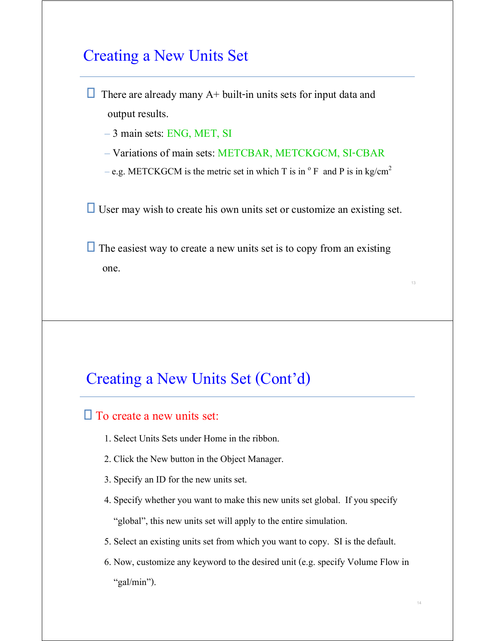### Creating a New Units Set

 $\Box$  There are already many A+ built-in units sets for input data and output results.

– 3 main sets: ENG, MET, SI

– Variations of main sets: METCBAR, METCKGCM, SI-CBAR

– e.g. METCKGCM is the metric set in which T is in  $^{\circ}$  F and P is in kg/cm<sup>2</sup>

 $\Box$  User may wish to create his own units set or customize an existing set.

 $\Box$  The easiest way to create a new units set is to copy from an existing one.

#### Creating a New Units Set (Cont'd)

#### $\Box$  To create a new units set:

- 1. Select Units Sets under Home in the ribbon.
- 2. Click the New button in the Object Manager.
- 3. Specify an ID for the new units set.
- 4. Specify whether you want to make this new units set global. If you specify "global", this new units set will apply to the entire simulation.
- 5. Select an existing units set from which you want to copy. SI is the default.
- 6. Now, customize any keyword to the desired unit (e.g. specify Volume Flow in "gal/min").

13